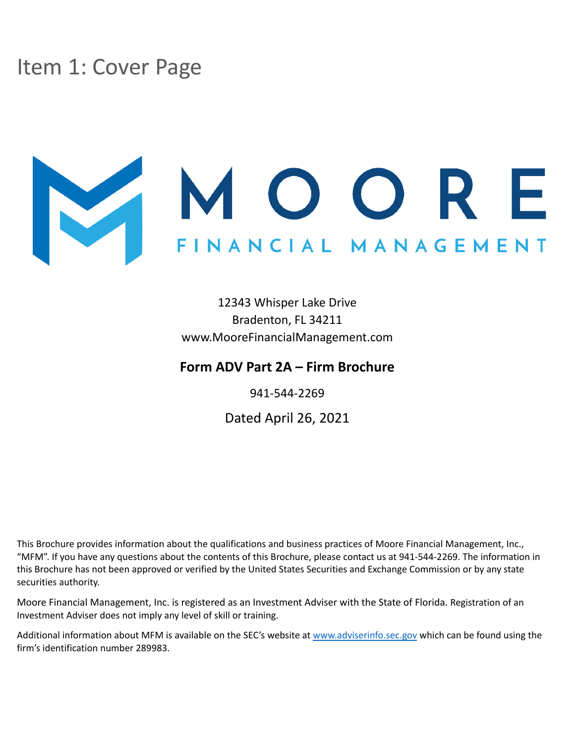# <span id="page-0-0"></span>Item 1: Cover Page

# V MOORE NANCIAL MANAGEMENT

12343 Whisper Lake Drive Bradenton, FL 34211 www.MooreFinancialManagement.com

### **Form ADV Part 2A – Firm Brochure**

941-544-2269

Dated April 26, 2021

This Brochure provides information about the qualifications and business practices of Moore Financial Management, Inc., "MFM". If you have any questions about the contents of this Brochure, please contact us at 941-544-2269. The information in this Brochure has not been approved or verified by the United States Securities and Exchange Commission or by any state securities authority.

Moore Financial Management, Inc. is registered as an Investment Adviser with the State of Florida. Registration of an Investment Adviser does not imply any level of skill or training.

Additional information about MFM is available on the SEC's website at [www.adviserinfo.sec.gov](http://www.adviserinfo.sec.gov) which can be found using the firm's identification number 289983.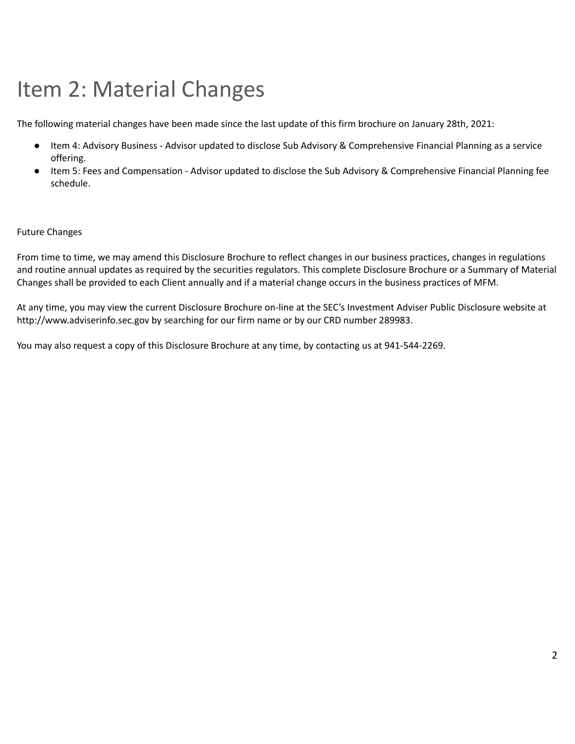# <span id="page-1-0"></span>Item 2: Material Changes

The following material changes have been made since the last update of this firm brochure on January 28th, 2021:

- Item 4: Advisory Business Advisor updated to disclose Sub Advisory & Comprehensive Financial Planning as a service offering.
- Item 5: Fees and Compensation Advisor updated to disclose the Sub Advisory & Comprehensive Financial Planning fee schedule.

#### Future Changes

From time to time, we may amend this Disclosure Brochure to reflect changes in our business practices, changes in regulations and routine annual updates as required by the securities regulators. This complete Disclosure Brochure or a Summary of Material Changes shall be provided to each Client annually and if a material change occurs in the business practices of MFM.

At any time, you may view the current Disclosure Brochure on-line at the SEC's Investment Adviser Public Disclosure website at http://www.adviserinfo.sec.gov by searching for our firm name or by our CRD number 289983.

You may also request a copy of this Disclosure Brochure at any time, by contacting us at 941-544-2269.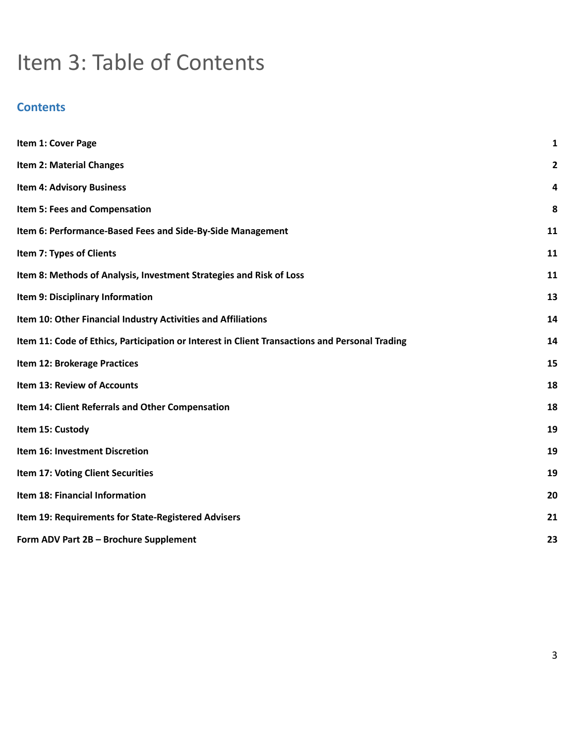# Item 3: Table of Contents

# **Contents**

| Item 1: Cover Page                                                                             | 1            |
|------------------------------------------------------------------------------------------------|--------------|
| <b>Item 2: Material Changes</b>                                                                | $\mathbf{2}$ |
| <b>Item 4: Advisory Business</b>                                                               | 4            |
| Item 5: Fees and Compensation                                                                  | 8            |
| Item 6: Performance-Based Fees and Side-By-Side Management                                     | 11           |
| Item 7: Types of Clients                                                                       | 11           |
| Item 8: Methods of Analysis, Investment Strategies and Risk of Loss                            | 11           |
| Item 9: Disciplinary Information                                                               | 13           |
| Item 10: Other Financial Industry Activities and Affiliations                                  | 14           |
| Item 11: Code of Ethics, Participation or Interest in Client Transactions and Personal Trading | 14           |
| Item 12: Brokerage Practices                                                                   | 15           |
| Item 13: Review of Accounts                                                                    | 18           |
| Item 14: Client Referrals and Other Compensation                                               | 18           |
| Item 15: Custody                                                                               | 19           |
| Item 16: Investment Discretion                                                                 | 19           |
| Item 17: Voting Client Securities                                                              | 19           |
| Item 18: Financial Information                                                                 | 20           |
| Item 19: Requirements for State-Registered Advisers                                            | 21           |
| Form ADV Part 2B - Brochure Supplement                                                         | 23           |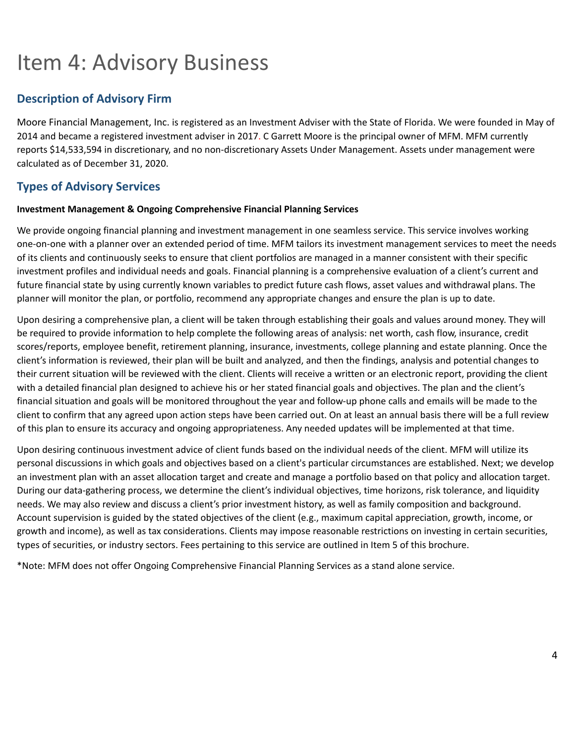# <span id="page-3-0"></span>Item 4: Advisory Business

# **Description of Advisory Firm**

Moore Financial Management, Inc. is registered as an Investment Adviser with the State of Florida. We were founded in May of 2014 and became a registered investment adviser in 2017. C Garrett Moore is the principal owner of MFM. MFM currently reports \$14,533,594 in discretionary, and no non-discretionary Assets Under Management. Assets under management were calculated as of December 31, 2020.

# **Types of Advisory Services**

#### **Investment Management & Ongoing Comprehensive Financial Planning Services**

We provide ongoing financial planning and investment management in one seamless service. This service involves working one-on-one with a planner over an extended period of time. MFM tailors its investment management services to meet the needs of its clients and continuously seeks to ensure that client portfolios are managed in a manner consistent with their specific investment profiles and individual needs and goals. Financial planning is a comprehensive evaluation of a client's current and future financial state by using currently known variables to predict future cash flows, asset values and withdrawal plans. The planner will monitor the plan, or portfolio, recommend any appropriate changes and ensure the plan is up to date.

Upon desiring a comprehensive plan, a client will be taken through establishing their goals and values around money. They will be required to provide information to help complete the following areas of analysis: net worth, cash flow, insurance, credit scores/reports, employee benefit, retirement planning, insurance, investments, college planning and estate planning. Once the client's information is reviewed, their plan will be built and analyzed, and then the findings, analysis and potential changes to their current situation will be reviewed with the client. Clients will receive a written or an electronic report, providing the client with a detailed financial plan designed to achieve his or her stated financial goals and objectives. The plan and the client's financial situation and goals will be monitored throughout the year and follow-up phone calls and emails will be made to the client to confirm that any agreed upon action steps have been carried out. On at least an annual basis there will be a full review of this plan to ensure its accuracy and ongoing appropriateness. Any needed updates will be implemented at that time.

Upon desiring continuous investment advice of client funds based on the individual needs of the client. MFM will utilize its personal discussions in which goals and objectives based on a client's particular circumstances are established. Next; we develop an investment plan with an asset allocation target and create and manage a portfolio based on that policy and allocation target. During our data-gathering process, we determine the client's individual objectives, time horizons, risk tolerance, and liquidity needs. We may also review and discuss a client's prior investment history, as well as family composition and background. Account supervision is guided by the stated objectives of the client (e.g., maximum capital appreciation, growth, income, or growth and income), as well as tax considerations. Clients may impose reasonable restrictions on investing in certain securities, types of securities, or industry sectors. Fees pertaining to this service are outlined in Item 5 of this brochure.

\*Note: MFM does not offer Ongoing Comprehensive Financial Planning Services as a stand alone service.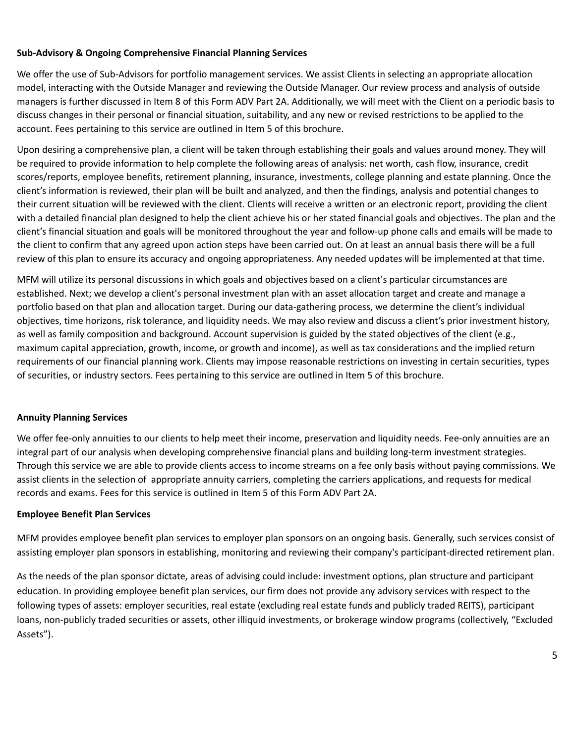#### **Sub-Advisory & Ongoing Comprehensive Financial Planning Services**

We offer the use of Sub-Advisors for portfolio management services. We assist Clients in selecting an appropriate allocation model, interacting with the Outside Manager and reviewing the Outside Manager. Our review process and analysis of outside managers is further discussed in Item 8 of this Form ADV Part 2A. Additionally, we will meet with the Client on a periodic basis to discuss changes in their personal or financial situation, suitability, and any new or revised restrictions to be applied to the account. Fees pertaining to this service are outlined in Item 5 of this brochure.

Upon desiring a comprehensive plan, a client will be taken through establishing their goals and values around money. They will be required to provide information to help complete the following areas of analysis: net worth, cash flow, insurance, credit scores/reports, employee benefits, retirement planning, insurance, investments, college planning and estate planning. Once the client's information is reviewed, their plan will be built and analyzed, and then the findings, analysis and potential changes to their current situation will be reviewed with the client. Clients will receive a written or an electronic report, providing the client with a detailed financial plan designed to help the client achieve his or her stated financial goals and objectives. The plan and the client's financial situation and goals will be monitored throughout the year and follow-up phone calls and emails will be made to the client to confirm that any agreed upon action steps have been carried out. On at least an annual basis there will be a full review of this plan to ensure its accuracy and ongoing appropriateness. Any needed updates will be implemented at that time.

MFM will utilize its personal discussions in which goals and objectives based on a client's particular circumstances are established. Next; we develop a client's personal investment plan with an asset allocation target and create and manage a portfolio based on that plan and allocation target. During our data-gathering process, we determine the client's individual objectives, time horizons, risk tolerance, and liquidity needs. We may also review and discuss a client's prior investment history, as well as family composition and background. Account supervision is guided by the stated objectives of the client (e.g., maximum capital appreciation, growth, income, or growth and income), as well as tax considerations and the implied return requirements of our financial planning work. Clients may impose reasonable restrictions on investing in certain securities, types of securities, or industry sectors. Fees pertaining to this service are outlined in Item 5 of this brochure.

#### **Annuity Planning Services**

We offer fee-only annuities to our clients to help meet their income, preservation and liquidity needs. Fee-only annuities are an integral part of our analysis when developing comprehensive financial plans and building long-term investment strategies. Through this service we are able to provide clients access to income streams on a fee only basis without paying commissions. We assist clients in the selection of appropriate annuity carriers, completing the carriers applications, and requests for medical records and exams. Fees for this service is outlined in Item 5 of this Form ADV Part 2A.

#### **Employee Benefit Plan Services**

MFM provides employee benefit plan services to employer plan sponsors on an ongoing basis. Generally, such services consist of assisting employer plan sponsors in establishing, monitoring and reviewing their company's participant-directed retirement plan.

As the needs of the plan sponsor dictate, areas of advising could include: investment options, plan structure and participant education. In providing employee benefit plan services, our firm does not provide any advisory services with respect to the following types of assets: employer securities, real estate (excluding real estate funds and publicly traded REITS), participant loans, non-publicly traded securities or assets, other illiquid investments, or brokerage window programs (collectively, "Excluded Assets").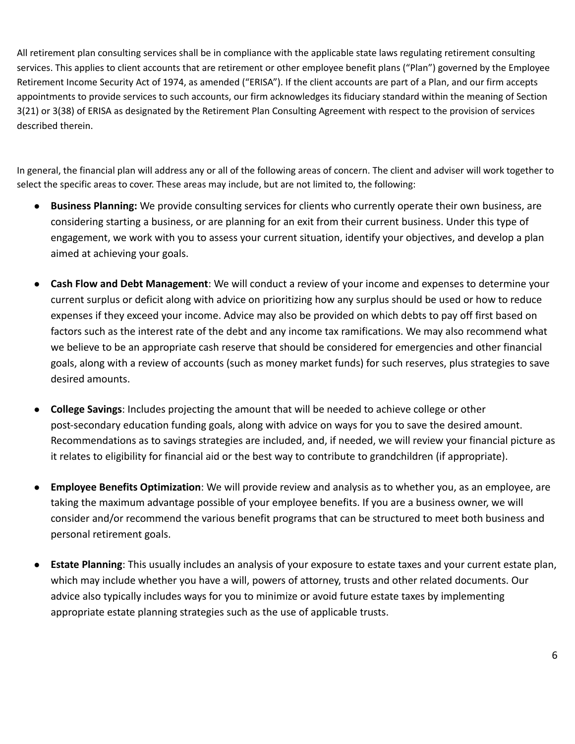All retirement plan consulting services shall be in compliance with the applicable state laws regulating retirement consulting services. This applies to client accounts that are retirement or other employee benefit plans ("Plan") governed by the Employee Retirement Income Security Act of 1974, as amended ("ERISA"). If the client accounts are part of a Plan, and our firm accepts appointments to provide services to such accounts, our firm acknowledges its fiduciary standard within the meaning of Section 3(21) or 3(38) of ERISA as designated by the Retirement Plan Consulting Agreement with respect to the provision of services described therein.

In general, the financial plan will address any or all of the following areas of concern. The client and adviser will work together to select the specific areas to cover. These areas may include, but are not limited to, the following:

- **Business Planning:** We provide consulting services for clients who currently operate their own business, are considering starting a business, or are planning for an exit from their current business. Under this type of engagement, we work with you to assess your current situation, identify your objectives, and develop a plan aimed at achieving your goals.
- **Cash Flow and Debt Management**: We will conduct a review of your income and expenses to determine your current surplus or deficit along with advice on prioritizing how any surplus should be used or how to reduce expenses if they exceed your income. Advice may also be provided on which debts to pay off first based on factors such as the interest rate of the debt and any income tax ramifications. We may also recommend what we believe to be an appropriate cash reserve that should be considered for emergencies and other financial goals, along with a review of accounts (such as money market funds) for such reserves, plus strategies to save desired amounts.
- **College Savings**: Includes projecting the amount that will be needed to achieve college or other post-secondary education funding goals, along with advice on ways for you to save the desired amount. Recommendations as to savings strategies are included, and, if needed, we will review your financial picture as it relates to eligibility for financial aid or the best way to contribute to grandchildren (if appropriate).
- **Employee Benefits Optimization**: We will provide review and analysis as to whether you, as an employee, are taking the maximum advantage possible of your employee benefits. If you are a business owner, we will consider and/or recommend the various benefit programs that can be structured to meet both business and personal retirement goals.
- **Estate Planning**: This usually includes an analysis of your exposure to estate taxes and your current estate plan, which may include whether you have a will, powers of attorney, trusts and other related documents. Our advice also typically includes ways for you to minimize or avoid future estate taxes by implementing appropriate estate planning strategies such as the use of applicable trusts.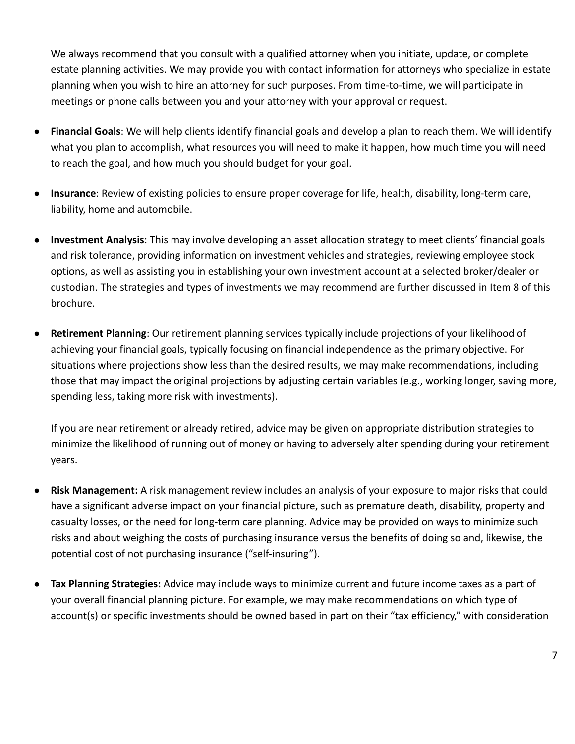We always recommend that you consult with a qualified attorney when you initiate, update, or complete estate planning activities. We may provide you with contact information for attorneys who specialize in estate planning when you wish to hire an attorney for such purposes. From time-to-time, we will participate in meetings or phone calls between you and your attorney with your approval or request.

- **Financial Goals**: We will help clients identify financial goals and develop a plan to reach them. We will identify what you plan to accomplish, what resources you will need to make it happen, how much time you will need to reach the goal, and how much you should budget for your goal.
- **Insurance**: Review of existing policies to ensure proper coverage for life, health, disability, long-term care, liability, home and automobile.
- **Investment Analysis**: This may involve developing an asset allocation strategy to meet clients' financial goals and risk tolerance, providing information on investment vehicles and strategies, reviewing employee stock options, as well as assisting you in establishing your own investment account at a selected broker/dealer or custodian. The strategies and types of investments we may recommend are further discussed in Item 8 of this brochure.
- **Retirement Planning**: Our retirement planning services typically include projections of your likelihood of achieving your financial goals, typically focusing on financial independence as the primary objective. For situations where projections show less than the desired results, we may make recommendations, including those that may impact the original projections by adjusting certain variables (e.g., working longer, saving more, spending less, taking more risk with investments).

If you are near retirement or already retired, advice may be given on appropriate distribution strategies to minimize the likelihood of running out of money or having to adversely alter spending during your retirement years.

- **Risk Management:** A risk management review includes an analysis of your exposure to major risks that could have a significant adverse impact on your financial picture, such as premature death, disability, property and casualty losses, or the need for long‐term care planning. Advice may be provided on ways to minimize such risks and about weighing the costs of purchasing insurance versus the benefits of doing so and, likewise, the potential cost of not purchasing insurance ("self‐insuring").
- **Tax Planning Strategies:** Advice may include ways to minimize current and future income taxes as a part of your overall financial planning picture. For example, we may make recommendations on which type of account(s) or specific investments should be owned based in part on their "tax efficiency," with consideration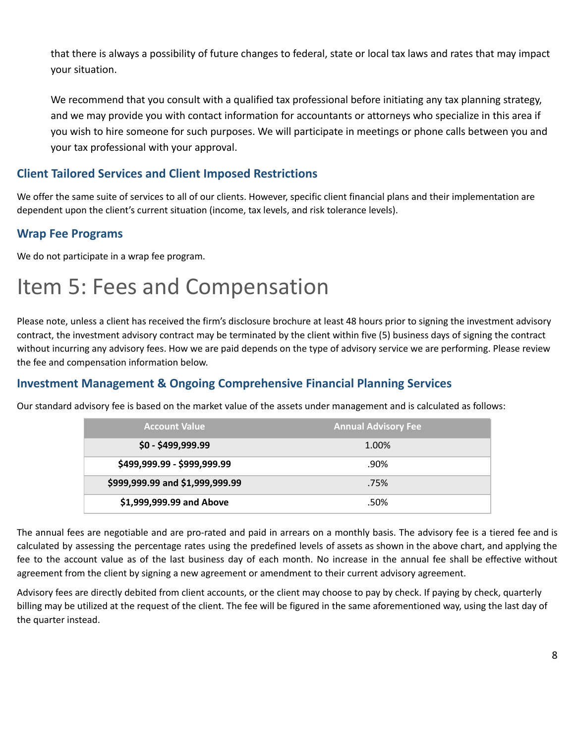that there is always a possibility of future changes to federal, state or local tax laws and rates that may impact your situation.

We recommend that you consult with a qualified tax professional before initiating any tax planning strategy, and we may provide you with contact information for accountants or attorneys who specialize in this area if you wish to hire someone for such purposes. We will participate in meetings or phone calls between you and your tax professional with your approval.

# **Client Tailored Services and Client Imposed Restrictions**

We offer the same suite of services to all of our clients. However, specific client financial plans and their implementation are dependent upon the client's current situation (income, tax levels, and risk tolerance levels).

### **Wrap Fee Programs**

We do not participate in a wrap fee program.

# <span id="page-7-0"></span>Item 5: Fees and Compensation

Please note, unless a client has received the firm's disclosure brochure at least 48 hours prior to signing the investment advisory contract, the investment advisory contract may be terminated by the client within five (5) business days of signing the contract without incurring any advisory fees. How we are paid depends on the type of advisory service we are performing. Please review the fee and compensation information below.

### **Investment Management & Ongoing Comprehensive Financial Planning Services**

Our standard advisory fee is based on the market value of the assets under management and is calculated as follows:

| <b>Account Value</b>            | <b>Annual Advisory Fee</b> |
|---------------------------------|----------------------------|
| $$0 - $499,999.99$              | 1.00%                      |
| \$499,999.99 - \$999,999.99     | $.90\%$                    |
| \$999,999.99 and \$1,999,999.99 | .75%                       |
| \$1,999,999.99 and Above        | .50%                       |

The annual fees are negotiable and are pro-rated and paid in arrears on a monthly basis. The advisory fee is a tiered fee and is calculated by assessing the percentage rates using the predefined levels of assets as shown in the above chart, and applying the fee to the account value as of the last business day of each month. No increase in the annual fee shall be effective without agreement from the client by signing a new agreement or amendment to their current advisory agreement.

Advisory fees are directly debited from client accounts, or the client may choose to pay by check. If paying by check, quarterly billing may be utilized at the request of the client. The fee will be figured in the same aforementioned way, using the last day of the quarter instead.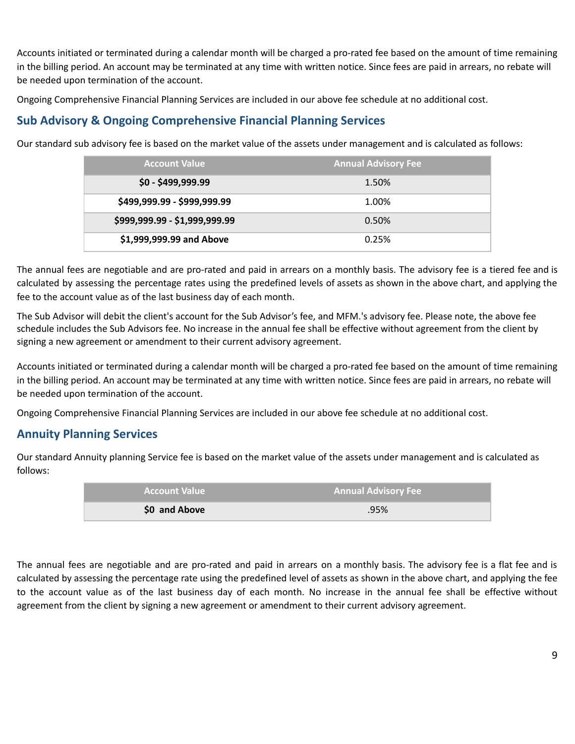Accounts initiated or terminated during a calendar month will be charged a pro-rated fee based on the amount of time remaining in the billing period. An account may be terminated at any time with written notice. Since fees are paid in arrears, no rebate will be needed upon termination of the account.

Ongoing Comprehensive Financial Planning Services are included in our above fee schedule at no additional cost.

### **Sub Advisory & Ongoing Comprehensive Financial Planning Services**

Our standard sub advisory fee is based on the market value of the assets under management and is calculated as follows:

| <b>Account Value</b>          | <b>Annual Advisory Fee</b> |
|-------------------------------|----------------------------|
| $$0 - $499,999.99$            | 1.50%                      |
| \$499,999.99 - \$999,999.99   | 1.00%                      |
| \$999,999.99 - \$1,999,999.99 | 0.50%                      |
| \$1,999,999.99 and Above      | 0.25%                      |

The annual fees are negotiable and are pro-rated and paid in arrears on a monthly basis. The advisory fee is a tiered fee and is calculated by assessing the percentage rates using the predefined levels of assets as shown in the above chart, and applying the fee to the account value as of the last business day of each month.

The Sub Advisor will debit the client's account for the Sub Advisor's fee, and MFM.'s advisory fee. Please note, the above fee schedule includes the Sub Advisors fee. No increase in the annual fee shall be effective without agreement from the client by signing a new agreement or amendment to their current advisory agreement.

Accounts initiated or terminated during a calendar month will be charged a pro-rated fee based on the amount of time remaining in the billing period. An account may be terminated at any time with written notice. Since fees are paid in arrears, no rebate will be needed upon termination of the account.

Ongoing Comprehensive Financial Planning Services are included in our above fee schedule at no additional cost.

### **Annuity Planning Services**

Our standard Annuity planning Service fee is based on the market value of the assets under management and is calculated as follows:

| <b>Account Value</b> | <b>Annual Advisory Fee</b> |
|----------------------|----------------------------|
| \$0 and Above        | .95%                       |

The annual fees are negotiable and are pro-rated and paid in arrears on a monthly basis. The advisory fee is a flat fee and is calculated by assessing the percentage rate using the predefined level of assets as shown in the above chart, and applying the fee to the account value as of the last business day of each month. No increase in the annual fee shall be effective without agreement from the client by signing a new agreement or amendment to their current advisory agreement.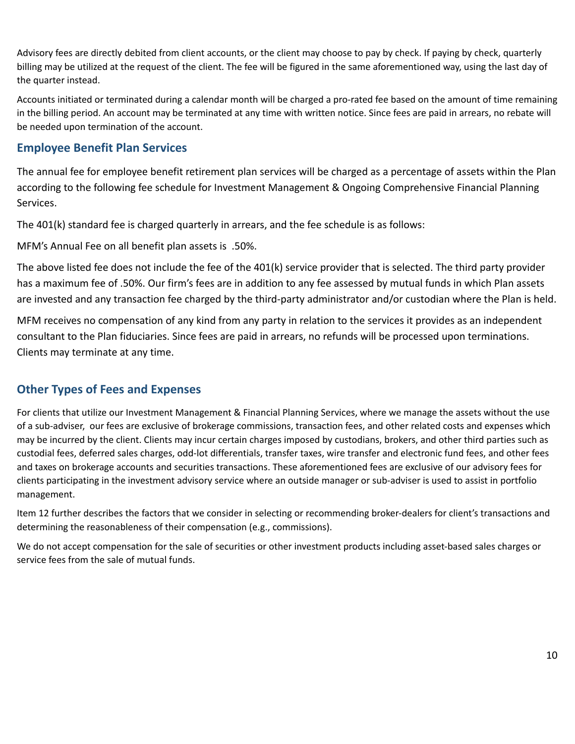Advisory fees are directly debited from client accounts, or the client may choose to pay by check. If paying by check, quarterly billing may be utilized at the request of the client. The fee will be figured in the same aforementioned way, using the last day of the quarter instead.

Accounts initiated or terminated during a calendar month will be charged a pro-rated fee based on the amount of time remaining in the billing period. An account may be terminated at any time with written notice. Since fees are paid in arrears, no rebate will be needed upon termination of the account.

### **Employee Benefit Plan Services**

The annual fee for employee benefit retirement plan services will be charged as a percentage of assets within the Plan according to the following fee schedule for Investment Management & Ongoing Comprehensive Financial Planning Services.

The 401(k) standard fee is charged quarterly in arrears, and the fee schedule is as follows:

MFM's Annual Fee on all benefit plan assets is .50%.

The above listed fee does not include the fee of the 401(k) service provider that is selected. The third party provider has a maximum fee of .50%. Our firm's fees are in addition to any fee assessed by mutual funds in which Plan assets are invested and any transaction fee charged by the third-party administrator and/or custodian where the Plan is held.

MFM receives no compensation of any kind from any party in relation to the services it provides as an independent consultant to the Plan fiduciaries. Since fees are paid in arrears, no refunds will be processed upon terminations. Clients may terminate at any time.

# **Other Types of Fees and Expenses**

For clients that utilize our Investment Management & Financial Planning Services, where we manage the assets without the use of a sub-adviser, our fees are exclusive of brokerage commissions, transaction fees, and other related costs and expenses which may be incurred by the client. Clients may incur certain charges imposed by custodians, brokers, and other third parties such as custodial fees, deferred sales charges, odd-lot differentials, transfer taxes, wire transfer and electronic fund fees, and other fees and taxes on brokerage accounts and securities transactions. These aforementioned fees are exclusive of our advisory fees for clients participating in the investment advisory service where an outside manager or sub-adviser is used to assist in portfolio management.

Item 12 further describes the factors that we consider in selecting or recommending broker-dealers for client's transactions and determining the reasonableness of their compensation (e.g., commissions).

We do not accept compensation for the sale of securities or other investment products including asset-based sales charges or service fees from the sale of mutual funds.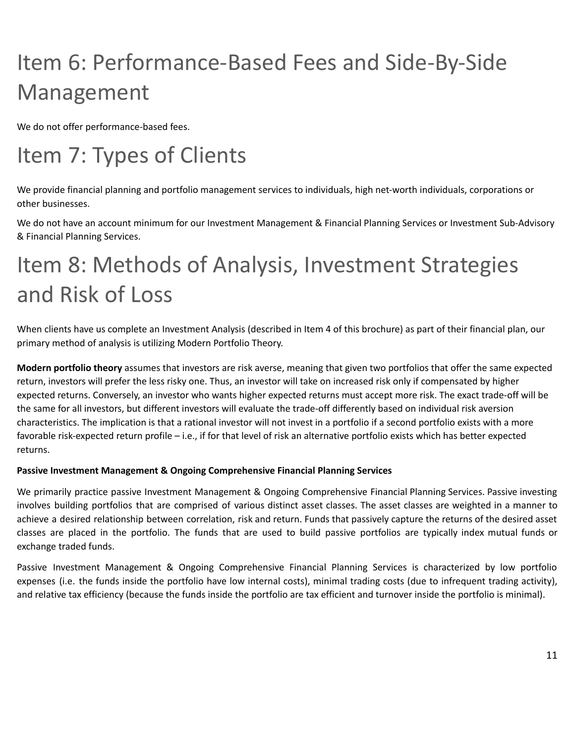# <span id="page-10-0"></span>Item 6: Performance-Based Fees and Side-By-Side Management

We do not offer performance-based fees.

# <span id="page-10-1"></span>Item 7: Types of Clients

We provide financial planning and portfolio management services to individuals, high net-worth individuals, corporations or other businesses.

We do not have an account minimum for our Investment Management & Financial Planning Services or Investment Sub-Advisory & Financial Planning Services.

# <span id="page-10-2"></span>Item 8: Methods of Analysis, Investment Strategies and Risk of Loss

When clients have us complete an Investment Analysis (described in Item 4 of this brochure) as part of their financial plan, our primary method of analysis is utilizing Modern Portfolio Theory.

**Modern portfolio theory** assumes that investors are risk averse, meaning that given two portfolios that offer the same expected return, investors will prefer the less risky one. Thus, an investor will take on increased risk only if compensated by higher expected returns. Conversely, an investor who wants higher expected returns must accept more risk. The exact trade-off will be the same for all investors, but different investors will evaluate the trade-off differently based on individual risk aversion characteristics. The implication is that a rational investor will not invest in a portfolio if a second portfolio exists with a more favorable risk-expected return profile – i.e., if for that level of risk an alternative portfolio exists which has better expected returns.

#### **Passive Investment Management & Ongoing Comprehensive Financial Planning Services**

We primarily practice passive Investment Management & Ongoing Comprehensive Financial Planning Services. Passive investing involves building portfolios that are comprised of various distinct asset classes. The asset classes are weighted in a manner to achieve a desired relationship between correlation, risk and return. Funds that passively capture the returns of the desired asset classes are placed in the portfolio. The funds that are used to build passive portfolios are typically index mutual funds or exchange traded funds.

Passive Investment Management & Ongoing Comprehensive Financial Planning Services is characterized by low portfolio expenses (i.e. the funds inside the portfolio have low internal costs), minimal trading costs (due to infrequent trading activity), and relative tax efficiency (because the funds inside the portfolio are tax efficient and turnover inside the portfolio is minimal).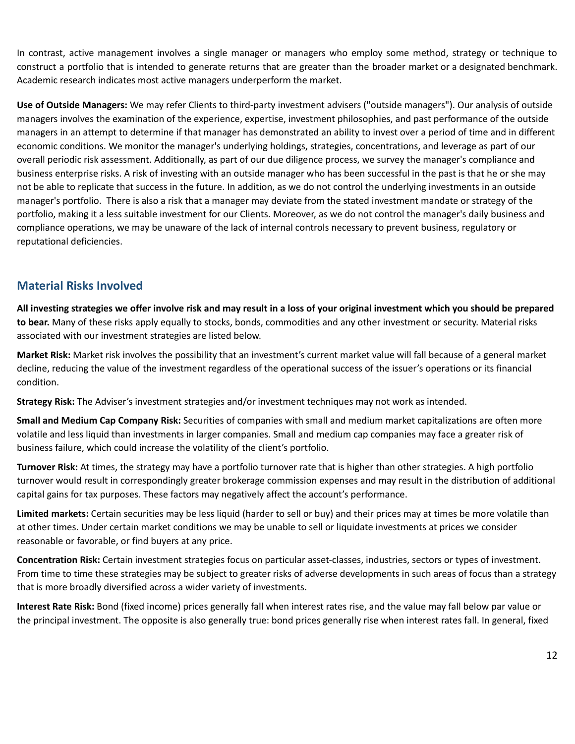In contrast, active management involves a single manager or managers who employ some method, strategy or technique to construct a portfolio that is intended to generate returns that are greater than the broader market or a designated benchmark. Academic research indicates most active managers underperform the market.

**Use of Outside Managers:** We may refer Clients to third-party investment advisers ("outside managers"). Our analysis of outside managers involves the examination of the experience, expertise, investment philosophies, and past performance of the outside managers in an attempt to determine if that manager has demonstrated an ability to invest over a period of time and in different economic conditions. We monitor the manager's underlying holdings, strategies, concentrations, and leverage as part of our overall periodic risk assessment. Additionally, as part of our due diligence process, we survey the manager's compliance and business enterprise risks. A risk of investing with an outside manager who has been successful in the past is that he or she may not be able to replicate that success in the future. In addition, as we do not control the underlying investments in an outside manager's portfolio. There is also a risk that a manager may deviate from the stated investment mandate or strategy of the portfolio, making it a less suitable investment for our Clients. Moreover, as we do not control the manager's daily business and compliance operations, we may be unaware of the lack of internal controls necessary to prevent business, regulatory or reputational deficiencies.

### **Material Risks Involved**

All investing strategies we offer involve risk and may result in a loss of your original investment which you should be prepared **to bear.** Many of these risks apply equally to stocks, bonds, commodities and any other investment or security. Material risks associated with our investment strategies are listed below.

**Market Risk:** Market risk involves the possibility that an investment's current market value will fall because of a general market decline, reducing the value of the investment regardless of the operational success of the issuer's operations or its financial condition.

**Strategy Risk:** The Adviser's investment strategies and/or investment techniques may not work as intended.

**Small and Medium Cap Company Risk:** Securities of companies with small and medium market capitalizations are often more volatile and less liquid than investments in larger companies. Small and medium cap companies may face a greater risk of business failure, which could increase the volatility of the client's portfolio.

**Turnover Risk:** At times, the strategy may have a portfolio turnover rate that is higher than other strategies. A high portfolio turnover would result in correspondingly greater brokerage commission expenses and may result in the distribution of additional capital gains for tax purposes. These factors may negatively affect the account's performance.

**Limited markets:** Certain securities may be less liquid (harder to sell or buy) and their prices may at times be more volatile than at other times. Under certain market conditions we may be unable to sell or liquidate investments at prices we consider reasonable or favorable, or find buyers at any price.

**Concentration Risk:** Certain investment strategies focus on particular asset-classes, industries, sectors or types of investment. From time to time these strategies may be subject to greater risks of adverse developments in such areas of focus than a strategy that is more broadly diversified across a wider variety of investments.

**Interest Rate Risk:** Bond (fixed income) prices generally fall when interest rates rise, and the value may fall below par value or the principal investment. The opposite is also generally true: bond prices generally rise when interest rates fall. In general, fixed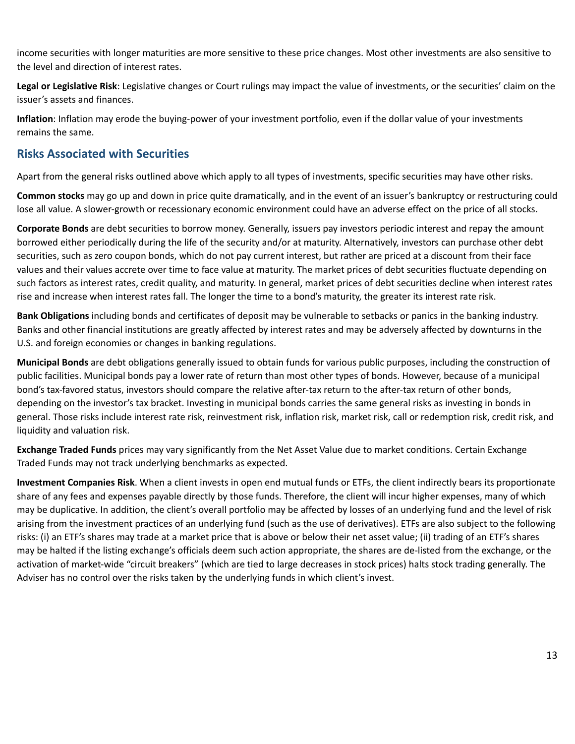income securities with longer maturities are more sensitive to these price changes. Most other investments are also sensitive to the level and direction of interest rates.

**Legal or Legislative Risk**: Legislative changes or Court rulings may impact the value of investments, or the securities' claim on the issuer's assets and finances.

**Inflation**: Inflation may erode the buying-power of your investment portfolio, even if the dollar value of your investments remains the same.

# **Risks Associated with Securities**

Apart from the general risks outlined above which apply to all types of investments, specific securities may have other risks.

**Common stocks** may go up and down in price quite dramatically, and in the event of an issuer's bankruptcy or restructuring could lose all value. A slower-growth or recessionary economic environment could have an adverse effect on the price of all stocks.

**Corporate Bonds** are debt securities to borrow money. Generally, issuers pay investors periodic interest and repay the amount borrowed either periodically during the life of the security and/or at maturity. Alternatively, investors can purchase other debt securities, such as zero coupon bonds, which do not pay current interest, but rather are priced at a discount from their face values and their values accrete over time to face value at maturity. The market prices of debt securities fluctuate depending on such factors as interest rates, credit quality, and maturity. In general, market prices of debt securities decline when interest rates rise and increase when interest rates fall. The longer the time to a bond's maturity, the greater its interest rate risk.

**Bank Obligations** including bonds and certificates of deposit may be vulnerable to setbacks or panics in the banking industry. Banks and other financial institutions are greatly affected by interest rates and may be adversely affected by downturns in the U.S. and foreign economies or changes in banking regulations.

**Municipal Bonds** are debt obligations generally issued to obtain funds for various public purposes, including the construction of public facilities. Municipal bonds pay a lower rate of return than most other types of bonds. However, because of a municipal bond's tax-favored status, investors should compare the relative after-tax return to the after-tax return of other bonds, depending on the investor's tax bracket. Investing in municipal bonds carries the same general risks as investing in bonds in general. Those risks include interest rate risk, reinvestment risk, inflation risk, market risk, call or redemption risk, credit risk, and liquidity and valuation risk.

**Exchange Traded Funds** prices may vary significantly from the Net Asset Value due to market conditions. Certain Exchange Traded Funds may not track underlying benchmarks as expected.

**Investment Companies Risk**. When a client invests in open end mutual funds or ETFs, the client indirectly bears its proportionate share of any fees and expenses payable directly by those funds. Therefore, the client will incur higher expenses, many of which may be duplicative. In addition, the client's overall portfolio may be affected by losses of an underlying fund and the level of risk arising from the investment practices of an underlying fund (such as the use of derivatives). ETFs are also subject to the following risks: (i) an ETF's shares may trade at a market price that is above or below their net asset value; (ii) trading of an ETF's shares may be halted if the listing exchange's officials deem such action appropriate, the shares are de-listed from the exchange, or the activation of market-wide "circuit breakers" (which are tied to large decreases in stock prices) halts stock trading generally. The Adviser has no control over the risks taken by the underlying funds in which client's invest.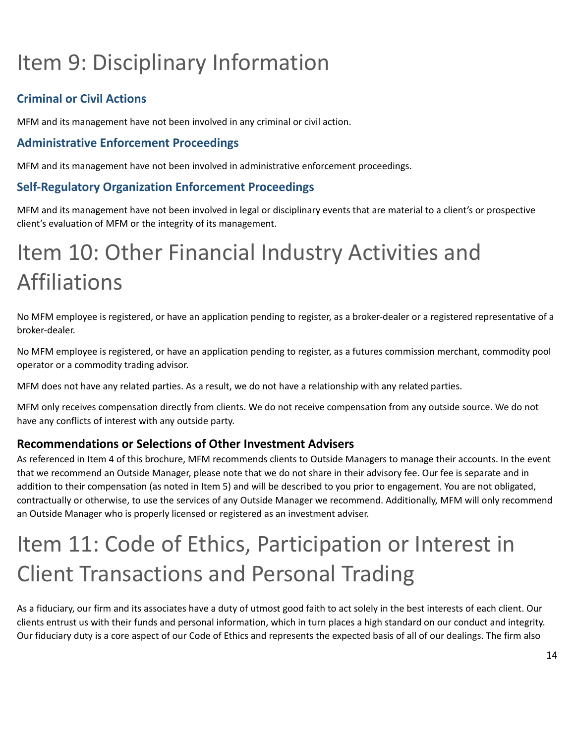# <span id="page-13-0"></span>Item 9: Disciplinary Information

# **Criminal or Civil Actions**

MFM and its management have not been involved in any criminal or civil action.

### **Administrative Enforcement Proceedings**

MFM and its management have not been involved in administrative enforcement proceedings.

### **Self-Regulatory Organization Enforcement Proceedings**

MFM and its management have not been involved in legal or disciplinary events that are material to a client's or prospective client's evaluation of MFM or the integrity of its management.

# <span id="page-13-1"></span>Item 10: Other Financial Industry Activities and Affiliations

No MFM employee is registered, or have an application pending to register, as a broker-dealer or a registered representative of a broker-dealer.

No MFM employee is registered, or have an application pending to register, as a futures commission merchant, commodity pool operator or a commodity trading advisor.

MFM does not have any related parties. As a result, we do not have a relationship with any related parties.

MFM only receives compensation directly from clients. We do not receive compensation from any outside source. We do not have any conflicts of interest with any outside party.

# **Recommendations or Selections of Other Investment Advisers**

As referenced in Item 4 of this brochure, MFM recommends clients to Outside Managers to manage their accounts. In the event that we recommend an Outside Manager, please note that we do not share in their advisory fee. Our fee is separate and in addition to their compensation (as noted in Item 5) and will be described to you prior to engagement. You are not obligated, contractually or otherwise, to use the services of any Outside Manager we recommend. Additionally, MFM will only recommend an Outside Manager who is properly licensed or registered as an investment adviser.

# <span id="page-13-2"></span>Item 11: Code of Ethics, Participation or Interest in Client Transactions and Personal Trading

As a fiduciary, our firm and its associates have a duty of utmost good faith to act solely in the best interests of each client. Our clients entrust us with their funds and personal information, which in turn places a high standard on our conduct and integrity. Our fiduciary duty is a core aspect of our Code of Ethics and represents the expected basis of all of our dealings. The firm also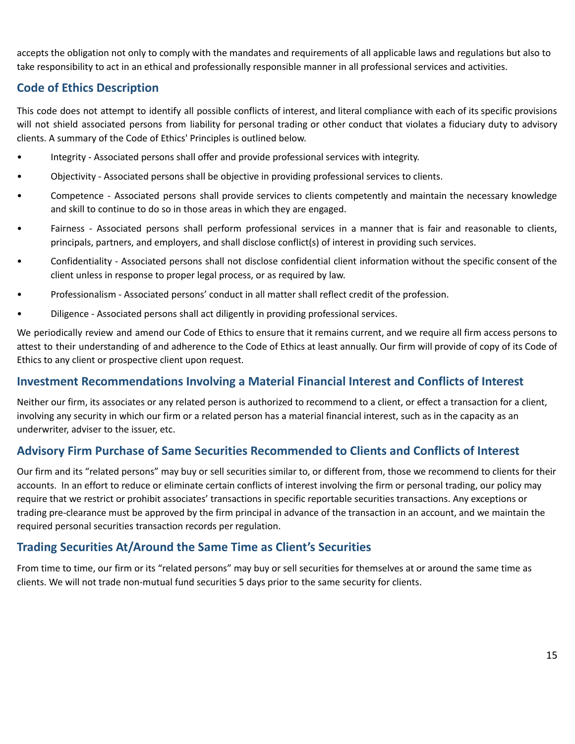accepts the obligation not only to comply with the mandates and requirements of all applicable laws and regulations but also to take responsibility to act in an ethical and professionally responsible manner in all professional services and activities.

# **Code of Ethics Description**

This code does not attempt to identify all possible conflicts of interest, and literal compliance with each of its specific provisions will not shield associated persons from liability for personal trading or other conduct that violates a fiduciary duty to advisory clients. A summary of the Code of Ethics' Principles is outlined below.

- Integrity Associated persons shall offer and provide professional services with integrity.
- Objectivity Associated persons shall be objective in providing professional services to clients.
- Competence Associated persons shall provide services to clients competently and maintain the necessary knowledge and skill to continue to do so in those areas in which they are engaged.
- Fairness Associated persons shall perform professional services in a manner that is fair and reasonable to clients, principals, partners, and employers, and shall disclose conflict(s) of interest in providing such services.
- Confidentiality Associated persons shall not disclose confidential client information without the specific consent of the client unless in response to proper legal process, or as required by law.
- Professionalism Associated persons' conduct in all matter shall reflect credit of the profession.
- Diligence Associated persons shall act diligently in providing professional services.

We periodically review and amend our Code of Ethics to ensure that it remains current, and we require all firm access persons to attest to their understanding of and adherence to the Code of Ethics at least annually. Our firm will provide of copy of its Code of Ethics to any client or prospective client upon request.

### **Investment Recommendations Involving a Material Financial Interest and Conflicts of Interest**

Neither our firm, its associates or any related person is authorized to recommend to a client, or effect a transaction for a client, involving any security in which our firm or a related person has a material financial interest, such as in the capacity as an underwriter, adviser to the issuer, etc.

### **Advisory Firm Purchase of Same Securities Recommended to Clients and Conflicts of Interest**

Our firm and its "related persons" may buy or sell securities similar to, or different from, those we recommend to clients for their accounts. In an effort to reduce or eliminate certain conflicts of interest involving the firm or personal trading, our policy may require that we restrict or prohibit associates' transactions in specific reportable securities transactions. Any exceptions or trading pre-clearance must be approved by the firm principal in advance of the transaction in an account, and we maintain the required personal securities transaction records per regulation.

### **Trading Securities At/Around the Same Time as Client's Securities**

From time to time, our firm or its "related persons" may buy or sell securities for themselves at or around the same time as clients. We will not trade non-mutual fund securities 5 days prior to the same security for clients.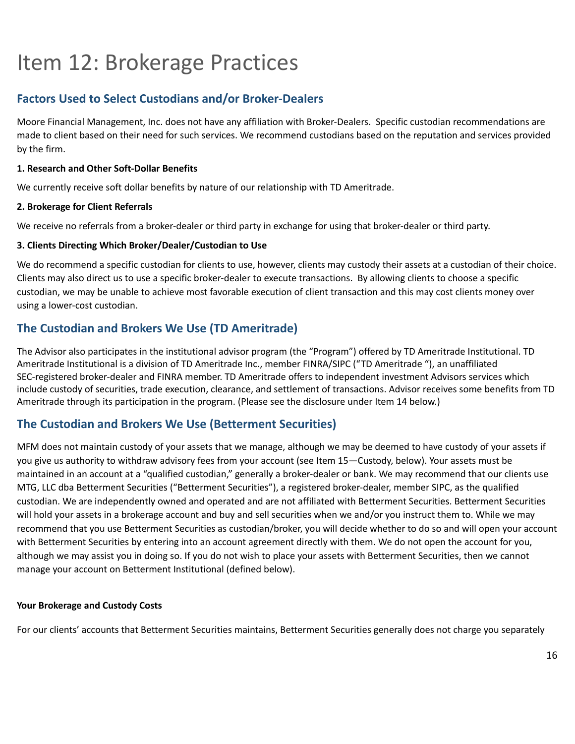# <span id="page-15-0"></span>Item 12: Brokerage Practices

# **Factors Used to Select Custodians and/or Broker-Dealers**

Moore Financial Management, Inc. does not have any affiliation with Broker-Dealers. Specific custodian recommendations are made to client based on their need for such services. We recommend custodians based on the reputation and services provided by the firm.

#### **1. Research and Other Soft-Dollar Benefits**

We currently receive soft dollar benefits by nature of our relationship with TD Ameritrade.

#### **2. Brokerage for Client Referrals**

We receive no referrals from a broker-dealer or third party in exchange for using that broker-dealer or third party.

#### **3. Clients Directing Which Broker/Dealer/Custodian to Use**

We do recommend a specific custodian for clients to use, however, clients may custody their assets at a custodian of their choice. Clients may also direct us to use a specific broker-dealer to execute transactions. By allowing clients to choose a specific custodian, we may be unable to achieve most favorable execution of client transaction and this may cost clients money over using a lower-cost custodian.

### **The Custodian and Brokers We Use (TD Ameritrade)**

The Advisor also participates in the institutional advisor program (the "Program") offered by TD Ameritrade Institutional. TD Ameritrade Institutional is a division of TD Ameritrade Inc., member FINRA/SIPC ("TD Ameritrade "), an unaffiliated SEC-registered broker-dealer and FINRA member. TD Ameritrade offers to independent investment Advisors services which include custody of securities, trade execution, clearance, and settlement of transactions. Advisor receives some benefits from TD Ameritrade through its participation in the program. (Please see the disclosure under Item 14 below.)

### **The Custodian and Brokers We Use (Betterment Securities)**

MFM does not maintain custody of your assets that we manage, although we may be deemed to have custody of your assets if you give us authority to withdraw advisory fees from your account (see Item 15—Custody, below). Your assets must be maintained in an account at a "qualified custodian," generally a broker-dealer or bank. We may recommend that our clients use MTG, LLC dba Betterment Securities ("Betterment Securities"), a registered broker-dealer, member SIPC, as the qualified custodian. We are independently owned and operated and are not affiliated with Betterment Securities. Betterment Securities will hold your assets in a brokerage account and buy and sell securities when we and/or you instruct them to. While we may recommend that you use Betterment Securities as custodian/broker, you will decide whether to do so and will open your account with Betterment Securities by entering into an account agreement directly with them. We do not open the account for you, although we may assist you in doing so. If you do not wish to place your assets with Betterment Securities, then we cannot manage your account on Betterment Institutional (defined below).

#### **Your Brokerage and Custody Costs**

For our clients' accounts that Betterment Securities maintains, Betterment Securities generally does not charge you separately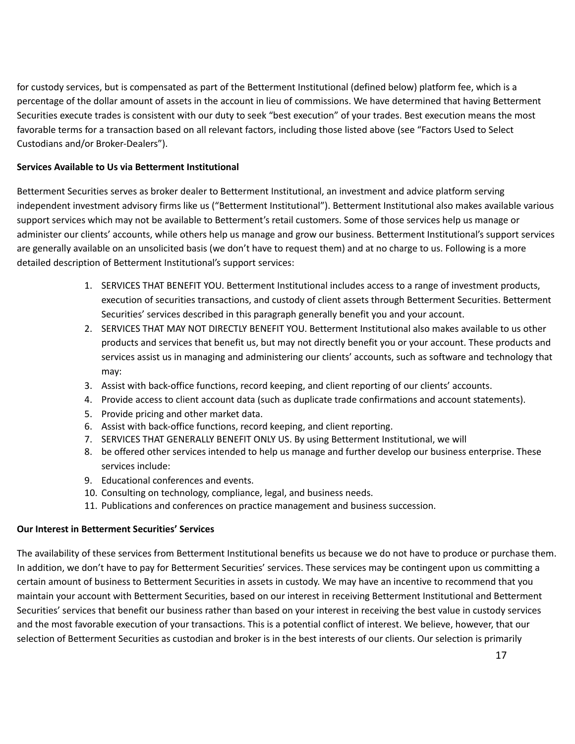for custody services, but is compensated as part of the Betterment Institutional (defined below) platform fee, which is a percentage of the dollar amount of assets in the account in lieu of commissions. We have determined that having Betterment Securities execute trades is consistent with our duty to seek "best execution" of your trades. Best execution means the most favorable terms for a transaction based on all relevant factors, including those listed above (see "Factors Used to Select Custodians and/or Broker-Dealers").

#### **Services Available to Us via Betterment Institutional**

Betterment Securities serves as broker dealer to Betterment Institutional, an investment and advice platform serving independent investment advisory firms like us ("Betterment Institutional"). Betterment Institutional also makes available various support services which may not be available to Betterment's retail customers. Some of those services help us manage or administer our clients' accounts, while others help us manage and grow our business. Betterment Institutional's support services are generally available on an unsolicited basis (we don't have to request them) and at no charge to us. Following is a more detailed description of Betterment Institutional's support services:

- 1. SERVICES THAT BENEFIT YOU. Betterment Institutional includes access to a range of investment products, execution of securities transactions, and custody of client assets through Betterment Securities. Betterment Securities' services described in this paragraph generally benefit you and your account.
- 2. SERVICES THAT MAY NOT DIRECTLY BENEFIT YOU. Betterment Institutional also makes available to us other products and services that benefit us, but may not directly benefit you or your account. These products and services assist us in managing and administering our clients' accounts, such as software and technology that may:
- 3. Assist with back-office functions, record keeping, and client reporting of our clients' accounts.
- 4. Provide access to client account data (such as duplicate trade confirmations and account statements).
- 5. Provide pricing and other market data.
- 6. Assist with back-office functions, record keeping, and client reporting.
- 7. SERVICES THAT GENERALLY BENEFIT ONLY US. By using Betterment Institutional, we will
- 8. be offered other services intended to help us manage and further develop our business enterprise. These services include:
- 9. Educational conferences and events.
- 10. Consulting on technology, compliance, legal, and business needs.
- 11. Publications and conferences on practice management and business succession.

#### **Our Interest in Betterment Securities' Services**

The availability of these services from Betterment Institutional benefits us because we do not have to produce or purchase them. In addition, we don't have to pay for Betterment Securities' services. These services may be contingent upon us committing a certain amount of business to Betterment Securities in assets in custody. We may have an incentive to recommend that you maintain your account with Betterment Securities, based on our interest in receiving Betterment Institutional and Betterment Securities' services that benefit our business rather than based on your interest in receiving the best value in custody services and the most favorable execution of your transactions. This is a potential conflict of interest. We believe, however, that our selection of Betterment Securities as custodian and broker is in the best interests of our clients. Our selection is primarily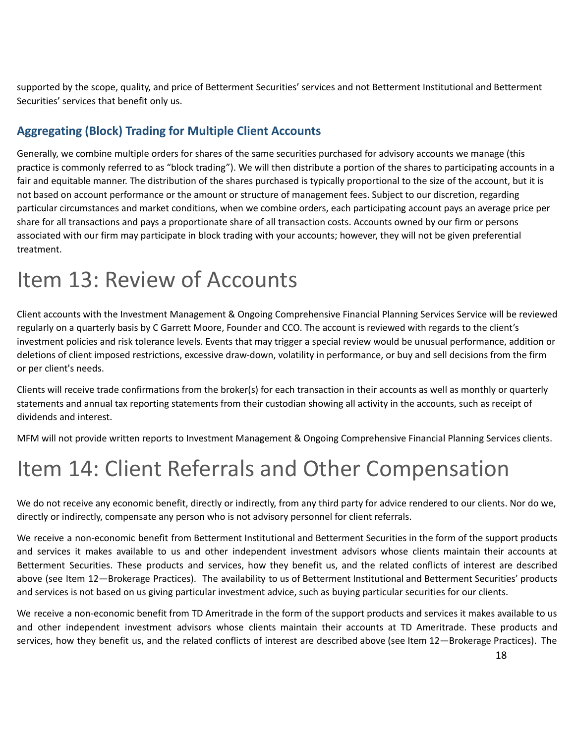supported by the scope, quality, and price of Betterment Securities' services and not Betterment Institutional and Betterment Securities' services that benefit only us.

# **Aggregating (Block) Trading for Multiple Client Accounts**

Generally, we combine multiple orders for shares of the same securities purchased for advisory accounts we manage (this practice is commonly referred to as "block trading"). We will then distribute a portion of the shares to participating accounts in a fair and equitable manner. The distribution of the shares purchased is typically proportional to the size of the account, but it is not based on account performance or the amount or structure of management fees. Subject to our discretion, regarding particular circumstances and market conditions, when we combine orders, each participating account pays an average price per share for all transactions and pays a proportionate share of all transaction costs. Accounts owned by our firm or persons associated with our firm may participate in block trading with your accounts; however, they will not be given preferential treatment.

# <span id="page-17-0"></span>Item 13: Review of Accounts

Client accounts with the Investment Management & Ongoing Comprehensive Financial Planning Services Service will be reviewed regularly on a quarterly basis by C Garrett Moore, Founder and CCO. The account is reviewed with regards to the client's investment policies and risk tolerance levels. Events that may trigger a special review would be unusual performance, addition or deletions of client imposed restrictions, excessive draw-down, volatility in performance, or buy and sell decisions from the firm or per client's needs.

Clients will receive trade confirmations from the broker(s) for each transaction in their accounts as well as monthly or quarterly statements and annual tax reporting statements from their custodian showing all activity in the accounts, such as receipt of dividends and interest.

MFM will not provide written reports to Investment Management & Ongoing Comprehensive Financial Planning Services clients.

# <span id="page-17-1"></span>Item 14: Client Referrals and Other Compensation

We do not receive any economic benefit, directly or indirectly, from any third party for advice rendered to our clients. Nor do we, directly or indirectly, compensate any person who is not advisory personnel for client referrals.

We receive a non-economic benefit from Betterment Institutional and Betterment Securities in the form of the support products and services it makes available to us and other independent investment advisors whose clients maintain their accounts at Betterment Securities. These products and services, how they benefit us, and the related conflicts of interest are described above (see Item 12—Brokerage Practices). The availability to us of Betterment Institutional and Betterment Securities' products and services is not based on us giving particular investment advice, such as buying particular securities for our clients.

We receive a non-economic benefit from TD Ameritrade in the form of the support products and services it makes available to us and other independent investment advisors whose clients maintain their accounts at TD Ameritrade. These products and services, how they benefit us, and the related conflicts of interest are described above (see Item 12—Brokerage Practices). The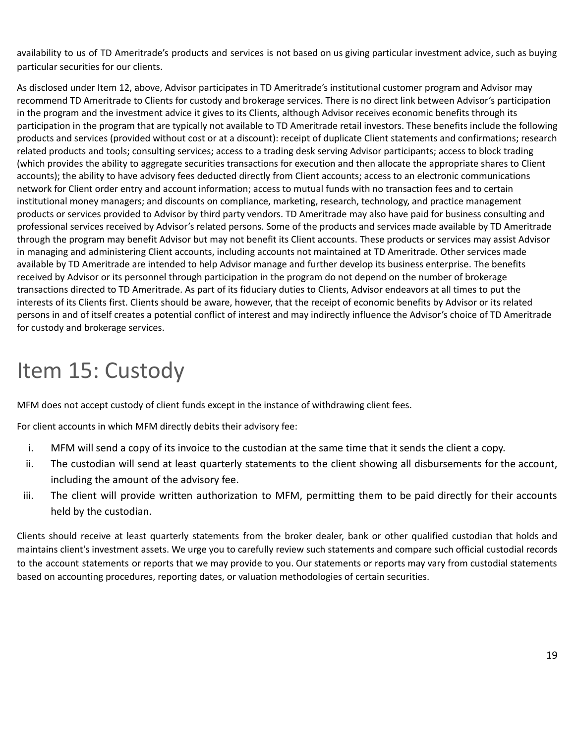availability to us of TD Ameritrade's products and services is not based on us giving particular investment advice, such as buying particular securities for our clients.

As disclosed under Item 12, above, Advisor participates in TD Ameritrade's institutional customer program and Advisor may recommend TD Ameritrade to Clients for custody and brokerage services. There is no direct link between Advisor's participation in the program and the investment advice it gives to its Clients, although Advisor receives economic benefits through its participation in the program that are typically not available to TD Ameritrade retail investors. These benefits include the following products and services (provided without cost or at a discount): receipt of duplicate Client statements and confirmations; research related products and tools; consulting services; access to a trading desk serving Advisor participants; access to block trading (which provides the ability to aggregate securities transactions for execution and then allocate the appropriate shares to Client accounts); the ability to have advisory fees deducted directly from Client accounts; access to an electronic communications network for Client order entry and account information; access to mutual funds with no transaction fees and to certain institutional money managers; and discounts on compliance, marketing, research, technology, and practice management products or services provided to Advisor by third party vendors. TD Ameritrade may also have paid for business consulting and professional services received by Advisor's related persons. Some of the products and services made available by TD Ameritrade through the program may benefit Advisor but may not benefit its Client accounts. These products or services may assist Advisor in managing and administering Client accounts, including accounts not maintained at TD Ameritrade. Other services made available by TD Ameritrade are intended to help Advisor manage and further develop its business enterprise. The benefits received by Advisor or its personnel through participation in the program do not depend on the number of brokerage transactions directed to TD Ameritrade. As part of its fiduciary duties to Clients, Advisor endeavors at all times to put the interests of its Clients first. Clients should be aware, however, that the receipt of economic benefits by Advisor or its related persons in and of itself creates a potential conflict of interest and may indirectly influence the Advisor's choice of TD Ameritrade for custody and brokerage services.

# <span id="page-18-0"></span>Item 15: Custody

MFM does not accept custody of client funds except in the instance of withdrawing client fees.

For client accounts in which MFM directly debits their advisory fee:

- i. MFM will send a copy of its invoice to the custodian at the same time that it sends the client a copy.
- ii. The custodian will send at least quarterly statements to the client showing all disbursements for the account, including the amount of the advisory fee.
- iii. The client will provide written authorization to MFM, permitting them to be paid directly for their accounts held by the custodian.

Clients should receive at least quarterly statements from the broker dealer, bank or other qualified custodian that holds and maintains client's investment assets. We urge you to carefully review such statements and compare such official custodial records to the account statements or reports that we may provide to you. Our statements or reports may vary from custodial statements based on accounting procedures, reporting dates, or valuation methodologies of certain securities.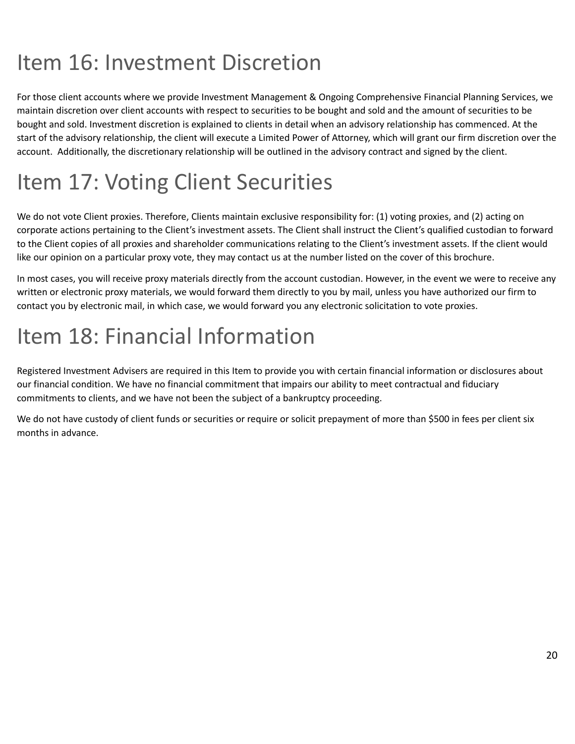# <span id="page-19-0"></span>Item 16: Investment Discretion

For those client accounts where we provide Investment Management & Ongoing Comprehensive Financial Planning Services, we maintain discretion over client accounts with respect to securities to be bought and sold and the amount of securities to be bought and sold. Investment discretion is explained to clients in detail when an advisory relationship has commenced. At the start of the advisory relationship, the client will execute a Limited Power of Attorney, which will grant our firm discretion over the account. Additionally, the discretionary relationship will be outlined in the advisory contract and signed by the client.

# <span id="page-19-1"></span>Item 17: Voting Client Securities

We do not vote Client proxies. Therefore, Clients maintain exclusive responsibility for: (1) voting proxies, and (2) acting on corporate actions pertaining to the Client's investment assets. The Client shall instruct the Client's qualified custodian to forward to the Client copies of all proxies and shareholder communications relating to the Client's investment assets. If the client would like our opinion on a particular proxy vote, they may contact us at the number listed on the cover of this brochure.

In most cases, you will receive proxy materials directly from the account custodian. However, in the event we were to receive any written or electronic proxy materials, we would forward them directly to you by mail, unless you have authorized our firm to contact you by electronic mail, in which case, we would forward you any electronic solicitation to vote proxies.

# <span id="page-19-2"></span>Item 18: Financial Information

Registered Investment Advisers are required in this Item to provide you with certain financial information or disclosures about our financial condition. We have no financial commitment that impairs our ability to meet contractual and fiduciary commitments to clients, and we have not been the subject of a bankruptcy proceeding.

We do not have custody of client funds or securities or require or solicit prepayment of more than \$500 in fees per client six months in advance.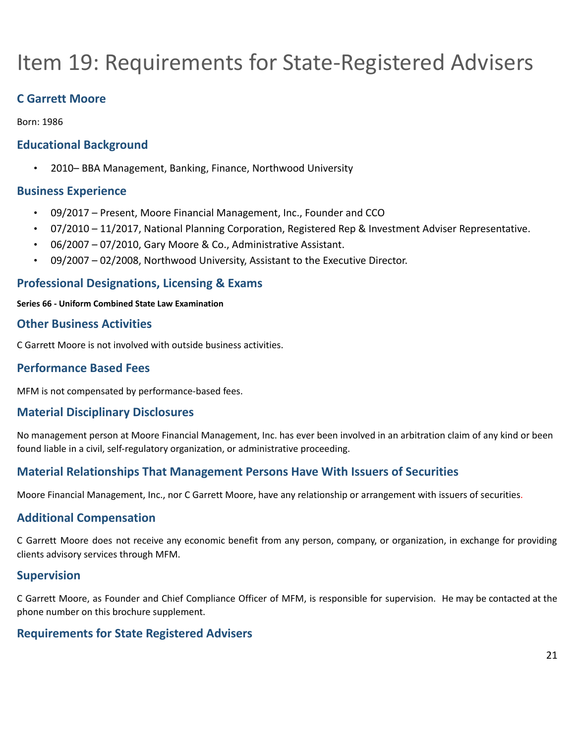# <span id="page-20-0"></span>Item 19: Requirements for State-Registered Advisers

# **C Garrett Moore**

Born: 1986

### **Educational Background**

• 2010– BBA Management, Banking, Finance, Northwood University

### **Business Experience**

- 09/2017 Present, Moore Financial Management, Inc., Founder and CCO
- 07/2010 11/2017, National Planning Corporation, Registered Rep & Investment Adviser Representative.
- 06/2007 07/2010, Gary Moore & Co., Administrative Assistant.
- 09/2007 02/2008, Northwood University, Assistant to the Executive Director.

### **Professional Designations, Licensing & Exams**

#### **Series 66 - Uniform Combined State Law Examination**

### **Other Business Activities**

C Garrett Moore is not involved with outside business activities.

### **Performance Based Fees**

MFM is not compensated by performance-based fees.

### **Material Disciplinary Disclosures**

No management person at Moore Financial Management, Inc. has ever been involved in an arbitration claim of any kind or been found liable in a civil, self-regulatory organization, or administrative proceeding.

# **Material Relationships That Management Persons Have With Issuers of Securities**

Moore Financial Management, Inc., nor C Garrett Moore, have any relationship or arrangement with issuers of securities.

### **Additional Compensation**

C Garrett Moore does not receive any economic benefit from any person, company, or organization, in exchange for providing clients advisory services through MFM.

#### **Supervision**

C Garrett Moore, as Founder and Chief Compliance Officer of MFM, is responsible for supervision. He may be contacted at the phone number on this brochure supplement.

### **Requirements for State Registered Advisers**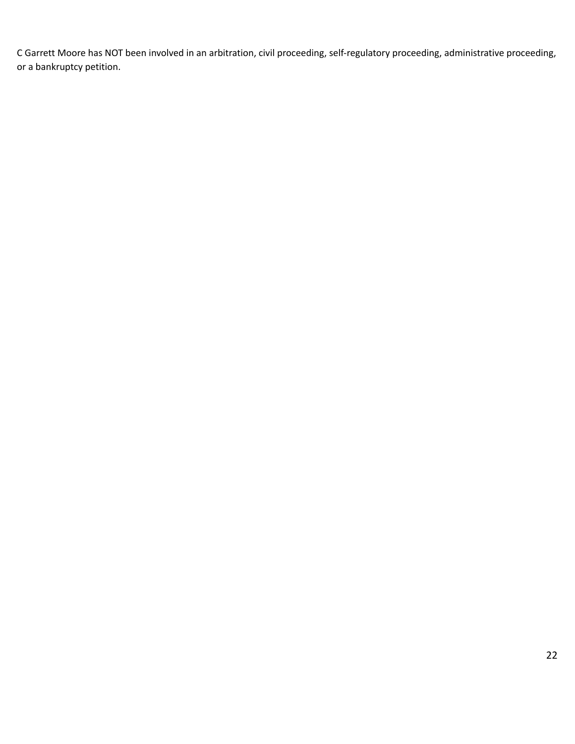C Garrett Moore has NOT been involved in an arbitration, civil proceeding, self-regulatory proceeding, administrative proceeding, or a bankruptcy petition.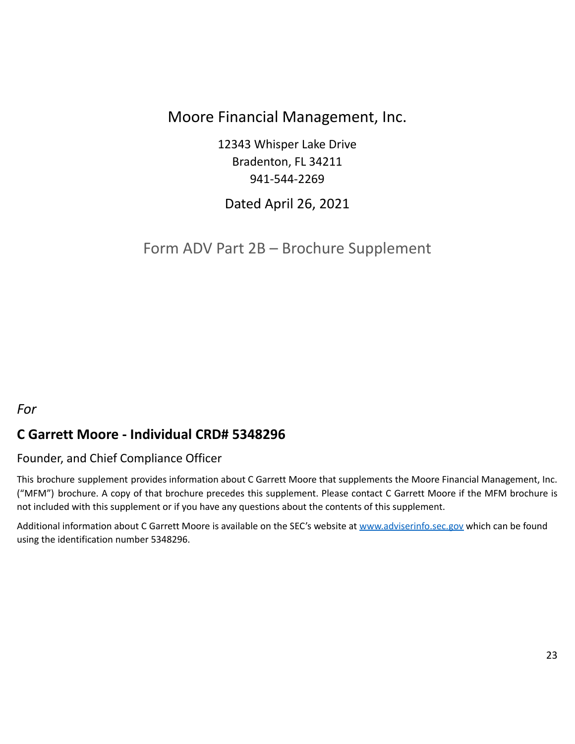# Moore Financial Management, Inc.

12343 Whisper Lake Drive Bradenton, FL 34211 941-544-2269

Dated April 26, 2021

<span id="page-22-0"></span>Form ADV Part 2B – Brochure Supplement

# *For*

# **C Garrett Moore - Individual CRD# 5348296**

### Founder, and Chief Compliance Officer

This brochure supplement provides information about C Garrett Moore that supplements the Moore Financial Management, Inc. ("MFM") brochure. A copy of that brochure precedes this supplement. Please contact C Garrett Moore if the MFM brochure is not included with this supplement or if you have any questions about the contents of this supplement.

Additional information about C Garrett Moore is available on the SEC's website at [www.adviserinfo.sec.gov](http://www.adviserinfo.sec.gov) which can be found using the identification number 5348296.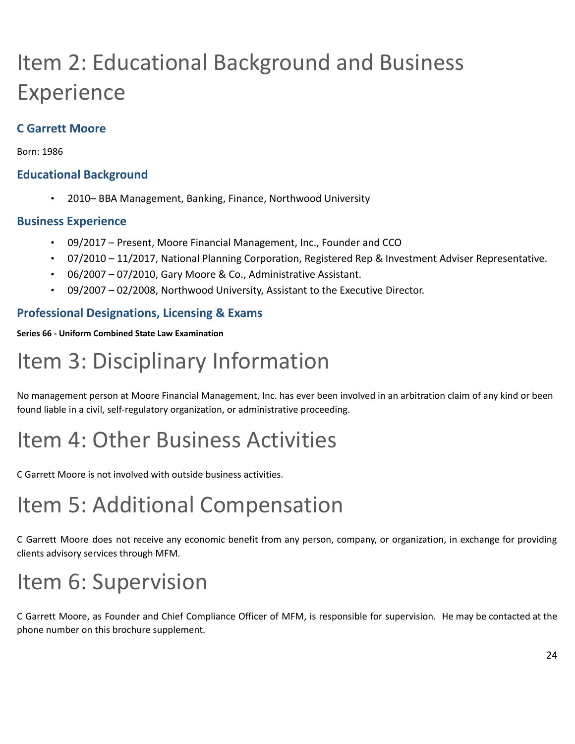# Item 2: Educational Background and Business Experience

# **C Garrett Moore**

Born: 1986

# **Educational Background**

• 2010– BBA Management, Banking, Finance, Northwood University

### **Business Experience**

- 09/2017 Present, Moore Financial Management, Inc., Founder and CCO
- 07/2010 11/2017, National Planning Corporation, Registered Rep & Investment Adviser Representative.
- 06/2007 07/2010, Gary Moore & Co., Administrative Assistant.
- 09/2007 02/2008, Northwood University, Assistant to the Executive Director.

# **Professional Designations, Licensing & Exams**

#### **Series 66 - Uniform Combined State Law Examination**

# Item 3: Disciplinary Information

No management person at Moore Financial Management, Inc. has ever been involved in an arbitration claim of any kind or been found liable in a civil, self-regulatory organization, or administrative proceeding.

# Item 4: Other Business Activities

C Garrett Moore is not involved with outside business activities.

# Item 5: Additional Compensation

C Garrett Moore does not receive any economic benefit from any person, company, or organization, in exchange for providing clients advisory services through MFM.

# Item 6: Supervision

C Garrett Moore, as Founder and Chief Compliance Officer of MFM, is responsible for supervision. He may be contacted at the phone number on this brochure supplement.